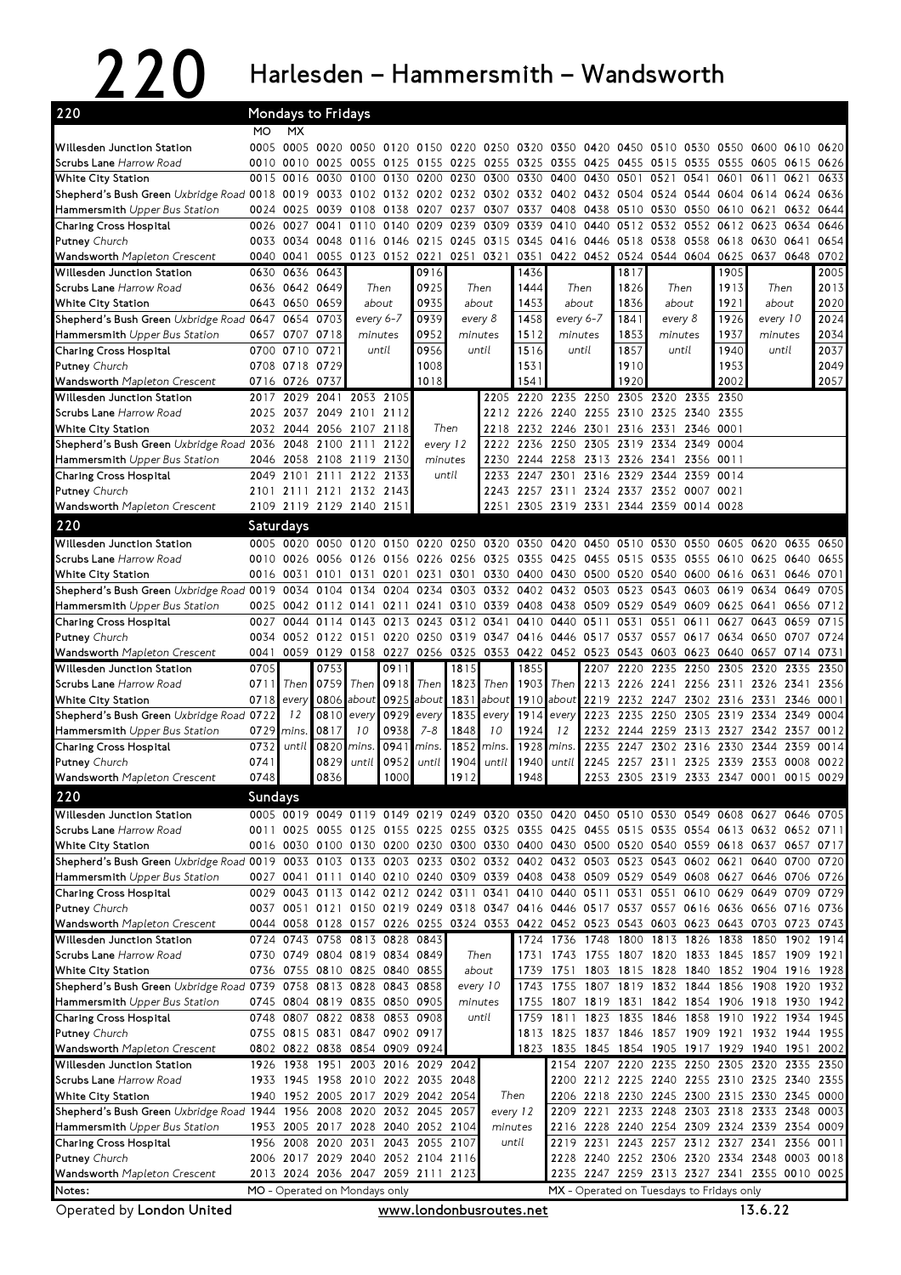$220$  Harlesden – Hammersmith – Wandsworth

| 220                                                                                                                           |                                                                                                                                                                  |                | Mondays to Fridays                                        |                |           |                          |          |                     |                                                                                           |           |                                                                                         |                |                               |           |                     |                |           |      |
|-------------------------------------------------------------------------------------------------------------------------------|------------------------------------------------------------------------------------------------------------------------------------------------------------------|----------------|-----------------------------------------------------------|----------------|-----------|--------------------------|----------|---------------------|-------------------------------------------------------------------------------------------|-----------|-----------------------------------------------------------------------------------------|----------------|-------------------------------|-----------|---------------------|----------------|-----------|------|
|                                                                                                                               | MO.                                                                                                                                                              | MX             |                                                           |                |           |                          |          |                     |                                                                                           |           |                                                                                         |                |                               |           |                     |                |           |      |
| Willesden Junction Station                                                                                                    |                                                                                                                                                                  | 0005 0005      | 0020 0050 0120                                            |                |           |                          |          |                     | 0150 0220 0250 0320 0350                                                                  |           | 0420                                                                                    | 0450           | 0510                          | 0530      | 0550 0600           |                | 0610      | 0620 |
| Scrubs Lane Harrow Road                                                                                                       | 0010                                                                                                                                                             | 0010           | 0025                                                      | 0055 0125      |           |                          |          | 0155 0225 0255 0325 |                                                                                           |           | 0355 0425 0455                                                                          |                | 0515 0535                     |           | 0555 0605           |                | 0615 0626 |      |
| White City Station                                                                                                            |                                                                                                                                                                  | 0015 0016      | 0030                                                      | 0100           | 0130      | 0200                     | 0230     | 0300 0330           |                                                                                           | 0400      | 0430                                                                                    | 0501           | 0521                          | 0541      | 0601                | 0611           | 0621      | 0633 |
| Shepherd's Bush Green Uxbridge Road 0018 0019                                                                                 |                                                                                                                                                                  |                | 0033                                                      | 0102 0132      |           |                          |          | 0202 0232 0302 0332 |                                                                                           |           | 0402 0432 0504                                                                          |                | 0524 0544                     |           | 0604 0614           |                | 0624      | 0636 |
| Hammersmith Upper Bus Station                                                                                                 |                                                                                                                                                                  | 0024 0025      | 0039                                                      | 0108 0138      |           | 0207 0237                |          |                     | 0307 0337                                                                                 |           | 0408 0438 0510                                                                          |                | 0530 0550                     |           | 0610 0621           |                | 0632      | 0644 |
| Charing Cross Hospital                                                                                                        | 0026                                                                                                                                                             | 0027           | 0041                                                      | 0110           | 0140      | 0209                     | 0239     | 0309 0339           |                                                                                           | 0410      | 0440                                                                                    | 0512           | 0532 0552                     |           | 0612 0623           |                | 0634      | 0646 |
| Putney Church                                                                                                                 |                                                                                                                                                                  | 0033 0034      |                                                           | 0048 0116 0146 |           |                          |          | 0215 0245 0315 0345 |                                                                                           |           | 0416 0446 0518                                                                          |                | 0538                          | 0558      | 0618 0630           |                | 0641      | 0654 |
| Wandsworth Mapleton Crescent                                                                                                  | 0040                                                                                                                                                             | 0041           | 0055                                                      |                | 0123 0152 | 0221                     |          | 0251 0321           | 0351                                                                                      |           | 0422 0452 0524                                                                          |                | 0544 0604                     |           |                     | 0625 0637 0648 |           | 0702 |
| <b>Willesden Junction Station</b>                                                                                             | 0630                                                                                                                                                             | 0636           | 0643                                                      |                |           | 0916                     |          |                     | 1436                                                                                      |           |                                                                                         | 1817           |                               |           | 1905                |                |           | 2005 |
| Scrubs Lane Harrow Road                                                                                                       |                                                                                                                                                                  | 0636 0642 0649 |                                                           | Then           |           | 0925                     |          | Then                | 1444                                                                                      | Then      |                                                                                         | 1826           | Then                          |           | 1913                | Then           |           | 2013 |
| <b>White City Station</b>                                                                                                     |                                                                                                                                                                  | 0643 0650      | 0659                                                      | about          |           | 0935                     | about    |                     | 1453                                                                                      | about     |                                                                                         | 1836           | about                         |           | 1921                | about          |           | 2020 |
| Shepherd's Bush Green Uxbridge Road 0647                                                                                      |                                                                                                                                                                  | 0654           | 0703                                                      | every 6-7      |           | 0939                     |          | every 8             | 1458                                                                                      | every 6-7 |                                                                                         | 1841           |                               | every 8   |                     | every 10       |           | 2024 |
| Hammersmith Upper Bus Station                                                                                                 |                                                                                                                                                                  | 0657 0707 0718 |                                                           | minutes        |           | 0952                     |          | minutes             | 1512                                                                                      | minutes   |                                                                                         | 1853           | minutes                       |           | 1937                | minutes        |           | 2034 |
| Charing Cross Hospital                                                                                                        |                                                                                                                                                                  | 0700 0710      | 0721                                                      |                | until     | 0956                     |          | until               | 1516                                                                                      |           | until                                                                                   | 1857           | until                         |           | 1940                | until          |           | 2037 |
| <b>Putney Church</b>                                                                                                          |                                                                                                                                                                  | 0708 0718      | 0729                                                      |                |           | 1008                     |          |                     | 1531                                                                                      |           |                                                                                         | 1910           |                               |           | 1953                |                |           | 2049 |
| Wandsworth Mapleton Crescent                                                                                                  |                                                                                                                                                                  | 0716 0726 0737 |                                                           |                |           | 1018                     |          |                     | 1541                                                                                      |           |                                                                                         | 1920           |                               |           | 2002                |                |           | 2057 |
| Willesden Junction Station                                                                                                    |                                                                                                                                                                  | 2017 2029      | 2041                                                      |                | 2053 2105 |                          |          | 2205                | 2220                                                                                      |           | 2235 2250                                                                               | 2305           | 2320                          | 2335      | 2350                |                |           |      |
| Scrubs Lane Harrow Road                                                                                                       | 2025                                                                                                                                                             | 2037           | 2049                                                      | 2101           | 2112      |                          |          |                     | 2212 2226                                                                                 |           | 2240 2255 2310                                                                          |                | 2325                          | 2340 2355 |                     |                |           |      |
| White City Station                                                                                                            | 2032                                                                                                                                                             | 2044           |                                                           | 2056 2107 2118 |           | Then                     |          | 2218                | 2232                                                                                      | 2246 2301 |                                                                                         | 2316           | 2331                          | 2346 0001 |                     |                |           |      |
| Shepherd's Bush Green Uxbridge Road 2036                                                                                      |                                                                                                                                                                  | 2048           |                                                           | 2100 2111      | 2122      | every 12                 |          | 2222                | 2236                                                                                      | 2250      | 2305 2319                                                                               |                | 2334                          | 2349      | 0004                |                |           |      |
| Hammersmith Upper Bus Station                                                                                                 | 2046                                                                                                                                                             | 2058           | 2108 2119 2130                                            |                |           | minutes                  |          |                     | 2230 2244                                                                                 | 2258      | 2313 2326 2341                                                                          |                |                               | 2356 0011 |                     |                |           |      |
| Charing Cross Hospital                                                                                                        | 2049                                                                                                                                                             |                | 2101 2111                                                 | 2122           | 2133      |                          | until    |                     | 2233 2247                                                                                 | 2301      | 2316 2329                                                                               |                | 2344                          | 2359      | 0014                |                |           |      |
| <b>Putney Church</b>                                                                                                          |                                                                                                                                                                  |                | 2101 2111 2121 2132 2143                                  |                |           |                          |          |                     | 2243 2257 2311 2324 2337 2352 0007 0021                                                   |           |                                                                                         |                |                               |           |                     |                |           |      |
| Wandsworth Mapleton Crescent                                                                                                  |                                                                                                                                                                  |                | 2109 2119 2129 2140 2151                                  |                |           |                          |          | 2251                | 2305 2319 2331 2344 2359 0014 0028                                                        |           |                                                                                         |                |                               |           |                     |                |           |      |
| 220                                                                                                                           | Saturdays                                                                                                                                                        |                |                                                           |                |           |                          |          |                     |                                                                                           |           |                                                                                         |                |                               |           |                     |                |           |      |
| Willesden Junction Station                                                                                                    |                                                                                                                                                                  |                | 0005 0020 0050 0120                                       |                | 0150      | 0220                     | 0250     | 0320 0350           |                                                                                           | 0420      | 0450                                                                                    | 0510           | 0530 0550                     |           | 0605 0620           |                | 0635      | 0650 |
| Scrubs Lane Harrow Road                                                                                                       | 0010                                                                                                                                                             | 0026           |                                                           | 0056 0126 0156 |           |                          |          | 0226 0256 0325 0355 |                                                                                           |           | 0425 0455 0515                                                                          |                | 0535 0555 0610 0625           |           |                     |                | 0640      | 0655 |
| White City Station                                                                                                            | 0016                                                                                                                                                             | 0031           | 0101                                                      | 0131           | 0201      | 0231                     | 0301     |                     | 0330 0400 0430 0500 0520                                                                  |           |                                                                                         |                | 0540                          | 0600      | 0616 0631           |                | 0646      | 0701 |
| Shepherd's Bush Green Uxbridge Road 0019                                                                                      |                                                                                                                                                                  | 0034           |                                                           | 0104 0134      | 0204      | 0234                     | 0303     |                     | 0332 0402 0432 0503 0523                                                                  |           |                                                                                         |                | 0543                          | 0603      | 0619 0634           |                | 0649      | 0705 |
| Hammersmith Upper Bus Station                                                                                                 | 0025                                                                                                                                                             |                | 0042 0112 0141                                            |                | 0211      | 0241                     |          | 0310 0339 0408      |                                                                                           | 0438      | 0509 0529                                                                               |                | 0549                          | 0609      | 0625 0641           |                | 0656      | 0712 |
| Charing Cross Hospital                                                                                                        | 0027                                                                                                                                                             | 0044           | 0114                                                      | 0143           | 0213      | 0243                     | 0312     | 0341                | 0410                                                                                      | 0440      | 0511                                                                                    | 0531           | 0551                          | 0611      | 0627                | 0643           | 0659      | 0715 |
| <b>Putney Church</b>                                                                                                          | 0034                                                                                                                                                             |                | 0052 0122 0151 0220                                       |                |           |                          |          |                     | 0250 0319 0347 0416 0446 0517 0537 0557 0617                                              |           |                                                                                         |                |                               |           | 0634 0650           |                | 0707      | 0724 |
| Wandsworth Mapleton Crescent                                                                                                  | 0041                                                                                                                                                             |                |                                                           |                |           |                          |          |                     | 0059 0129 0158 0227 0256 0325 0353 0422 0452 0523 0543 0603 0623                          |           |                                                                                         |                |                               |           | 0640 0657 0714 0731 |                |           |      |
| Willesden Junction Station                                                                                                    | 0705                                                                                                                                                             |                | 0753                                                      |                | 0911      |                          | 1815     |                     | 1855                                                                                      |           | 2207                                                                                    | 2220           | 2235                          | 2250      | 2305 2320           |                | 2335      | 2350 |
| Scrubs Lane Harrow Road                                                                                                       | 0711                                                                                                                                                             | Then           | 0759                                                      | Then           | 0918      | Then                     | 1823     | Then                | 1903                                                                                      | Then      | 2213 2226                                                                               |                | 2241 2256                     |           | 2311 2326           |                | 2341      | 2356 |
| White City Station                                                                                                            | 0718                                                                                                                                                             | every          | 0806                                                      | about          | 0925      | about                    | 1831     | about               | 1910                                                                                      | about     |                                                                                         |                | 2219 2232 2247 2302 2316 2331 |           |                     |                | 2346 0001 |      |
| Shepherd's Bush Green Uxbridge Road 0722                                                                                      |                                                                                                                                                                  | 12             | 0810                                                      | every          | 0929      | every                    | 1835     | every               | 1914                                                                                      | every     | 2223 2235                                                                               |                | 2250                          | 2305      | 2319 2334           |                | 2349      | 0004 |
| Hammersmith Upper Bus Station                                                                                                 | 0729                                                                                                                                                             | mins.          | 0817                                                      | 10             | 0938      | $7 - 8$                  | 1848     | 10                  | 1924                                                                                      | 12        |                                                                                         | 2232 2244      | 2259                          | 2313      | 2327                | 2342           | 2357      | 0012 |
| Charing Cross Hospital                                                                                                        | 0732                                                                                                                                                             | until          | 0820                                                      | mins.          | 0941      | mins.                    | 1852     | mins                | 1928                                                                                      | mins.     | 2235                                                                                    | 2247           | 2302                          | 2316      | 2330                | 2344           | 2359      | 0014 |
| <b>Putney Church</b>                                                                                                          | 0741                                                                                                                                                             |                | 0829                                                      | until          | 0952      | until                    | 1904     | until               | 1940                                                                                      | until     |                                                                                         | 2245 2257 2311 |                               |           | 2325 2339 2353      |                | 0008      | 0022 |
| Wandsworth Mapleton Crescent                                                                                                  | 0748                                                                                                                                                             |                | 0836                                                      |                | 1000      |                          | 1912     |                     | 1948                                                                                      |           |                                                                                         |                | 2253 2305 2319 2333 2347 0001 |           |                     |                | 0015 0029 |      |
| 220                                                                                                                           | <b>Sundays</b>                                                                                                                                                   |                |                                                           |                |           |                          |          |                     |                                                                                           |           |                                                                                         |                |                               |           |                     |                |           |      |
| Willesden Junction Station                                                                                                    |                                                                                                                                                                  |                |                                                           |                |           |                          |          |                     | 0005 0019 0049 0119 0149 0219 0249 0320 0350 0420 0450 0510 0530 0549 0608 0627 0646 0705 |           |                                                                                         |                |                               |           |                     |                |           |      |
| <b>Scrubs Lane</b> Harrow Road                                                                                                |                                                                                                                                                                  |                |                                                           |                |           |                          |          |                     | 0011 0025 0055 0125 0155 0225 0255 0325 0355 0425 0455 0515 0535 0554 0613 0632 0652 0711 |           |                                                                                         |                |                               |           |                     |                |           |      |
| White City Station                                                                                                            |                                                                                                                                                                  |                |                                                           |                |           |                          |          |                     | 0016 0030 0100 0130 0200 0230 0300 0330 0400 0430 0500 0520 0540 0559 0618 0637 0657 0717 |           |                                                                                         |                |                               |           |                     |                |           |      |
| Shepherd's Bush Green Uxbridge Road 0019 0033 0103 0133 0203 0233 0302 0332 0402 0432 0503 0523 0543 0602 0621 0640 0700 0720 |                                                                                                                                                                  |                |                                                           |                |           |                          |          |                     |                                                                                           |           |                                                                                         |                |                               |           |                     |                |           |      |
| Hammersmith Upper Bus Station                                                                                                 |                                                                                                                                                                  |                |                                                           |                |           |                          |          |                     | 0027 0041 0111 0140 0210 0240 0309 0339 0408 0438 0509 0529 0549 0608 0627 0646 0706 0726 |           |                                                                                         |                |                               |           |                     |                |           |      |
| Charing Cross Hospital                                                                                                        |                                                                                                                                                                  |                |                                                           |                |           |                          |          |                     | 0029 0043 0113 0142 0212 0242 0311 0341 0410 0440 0511 0531 0551 0610 0629 0649 0709 0729 |           |                                                                                         |                |                               |           |                     |                |           |      |
| <b>Putney Church</b>                                                                                                          |                                                                                                                                                                  |                |                                                           |                |           |                          |          |                     | 0037 0051 0121 0150 0219 0249 0318 0347 0416 0446 0517 0537 0557 0616 0636 0656 0716 0736 |           |                                                                                         |                |                               |           |                     |                |           |      |
| Wandsworth Mapleton Crescent                                                                                                  |                                                                                                                                                                  |                |                                                           |                |           |                          |          |                     | 0044 0058 0128 0157 0226 0255 0324 0353 0422 0452 0523 0543 0603 0623 0643 0703 0723 0743 |           |                                                                                         |                |                               |           |                     |                |           |      |
| Willesden Junction Station                                                                                                    |                                                                                                                                                                  |                | 0724 0743 0758 0813 0828 0843                             |                |           |                          |          |                     |                                                                                           |           | 1724 1736 1748 1800 1813 1826 1838 1850 1902 1914                                       |                |                               |           |                     |                |           |      |
| Scrubs Lane Harrow Road                                                                                                       |                                                                                                                                                                  |                | 0730 0749 0804 0819 0834 0849                             |                |           |                          |          | Then                |                                                                                           |           | 1731 1743 1755 1807 1820 1833 1845 1857 1909 1921                                       |                |                               |           |                     |                |           |      |
| <b>White City Station</b>                                                                                                     |                                                                                                                                                                  |                | 0736 0755 0810 0825 0840 0855                             |                |           |                          | about    |                     | 1739                                                                                      |           | 1751 1803 1815 1828 1840 1852 1904 1916 1928                                            |                |                               |           |                     |                |           |      |
| Shepherd's Bush Green Uxbridge Road 0739 0758                                                                                 |                                                                                                                                                                  |                | 0813 0828 0843 0858                                       |                |           |                          | every 10 |                     | 1743                                                                                      |           | 1755 1807 1819 1832 1844 1856 1908                                                      |                |                               |           |                     |                | 1920 1932 |      |
| Hammersmith Upper Bus Station<br>Charing Cross Hospital                                                                       |                                                                                                                                                                  |                | 0745 0804 0819 0835 0850 0905                             |                |           |                          |          | minutes             | 1755                                                                                      |           | 1807 1819 1831 1842 1854 1906 1918 1930                                                 |                |                               |           |                     |                |           | 1942 |
|                                                                                                                               |                                                                                                                                                                  |                | 0748 0807 0822 0838 0853 0908                             |                |           |                          |          | until               | 1759                                                                                      |           | 1811 1823 1835                                                                          |                | 1846 1858 1910 1922 1934      |           |                     |                |           | 1945 |
| Putney Church                                                                                                                 |                                                                                                                                                                  |                | 0755 0815 0831 0847 0902 0917                             |                |           |                          |          |                     |                                                                                           |           | 1813 1825 1837 1846 1857 1909 1921 1932 1944 1955                                       |                |                               |           |                     |                |           |      |
| Wandsworth Mapleton Crescent<br>Willesden Junction Station                                                                    |                                                                                                                                                                  |                | 0802 0822 0838 0854 0909 0924                             |                |           |                          |          |                     | 1823                                                                                      |           | 1835 1845 1854 1905 1917 1929 1940 1951                                                 |                |                               |           |                     |                |           | 2002 |
| Scrubs Lane Harrow Road                                                                                                       | 1926                                                                                                                                                             | 1938           | 1933 1945 1958 2010 2022 2035 2048                        |                |           | 1951 2003 2016 2029 2042 |          |                     |                                                                                           |           | 2154 2207 2220<br>2200 2212 2225 2240 2255 2310 2325 2340 2355                          |                | 2235 2250 2305 2320 2335 2350 |           |                     |                |           |      |
|                                                                                                                               |                                                                                                                                                                  |                |                                                           |                |           |                          |          |                     |                                                                                           |           |                                                                                         |                |                               |           |                     |                |           |      |
| White City Station<br>Shepherd's Bush Green Uxbridge Road 1944 1956                                                           | 1940                                                                                                                                                             |                | 1952 2005 2017 2029 2042 2054<br>2008 2020 2032 2045 2057 |                |           |                          |          | Then                |                                                                                           |           | 2206 2218 2230 2245 2300 2315 2330 2345 0000<br>2209 2221 2233 2248 2303 2318 2333 2348 |                |                               |           |                     |                |           | 0003 |
| Hammersmith Upper Bus Station                                                                                                 |                                                                                                                                                                  |                | 1953 2005 2017 2028 2040 2052 2104                        |                |           |                          |          | minutes             | every 12                                                                                  |           | 2216 2228 2240 2254 2309 2324 2339 2354 0009                                            |                |                               |           |                     |                |           |      |
| Charing Cross Hospital                                                                                                        |                                                                                                                                                                  |                | 1956 2008 2020 2031 2043 2055 2107                        |                |           |                          |          |                     | until                                                                                     |           | 2219 2231 2243 2257 2312 2327 2341 2356 0011                                            |                |                               |           |                     |                |           |      |
| <b>Putney Church</b>                                                                                                          |                                                                                                                                                                  |                | 2006 2017 2029 2040 2052 2104 2116                        |                |           |                          |          |                     |                                                                                           |           | 2228 2240 2252 2306 2320 2334 2348 0003 0018                                            |                |                               |           |                     |                |           |      |
| Wandsworth Mapleton Crescent                                                                                                  |                                                                                                                                                                  |                |                                                           |                |           |                          |          |                     |                                                                                           |           |                                                                                         |                |                               |           |                     |                |           |      |
|                                                                                                                               |                                                                                                                                                                  |                |                                                           |                |           |                          |          |                     |                                                                                           |           |                                                                                         |                |                               |           |                     |                |           |      |
| Notes:                                                                                                                        | 2013 2024 2036 2047 2059 2111 2123<br>2235 2247 2259 2313 2327 2341 2355 0010 0025<br>MO - Operated on Mondays only<br>MX - Operated on Tuesdays to Fridays only |                |                                                           |                |           |                          |          |                     |                                                                                           |           |                                                                                         |                |                               |           |                     |                |           |      |

Operated by London United

www.londonbusroutes.net 13.6.22